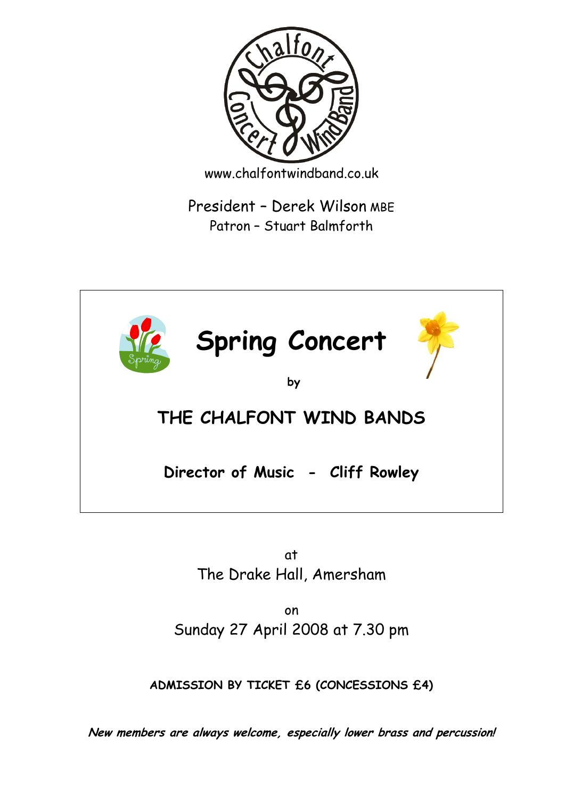

www.chalfontwindband.co.uk

President – Derek Wilson MBE Patron – Stuart Balmforth



at The Drake Hall, Amersham

on Sunday 27 April 2008 at 7.30 pm

**ADMISSION BY TICKET £6 (CONCESSIONS £4)**

**New members are always welcome, especially lower brass and percussion!**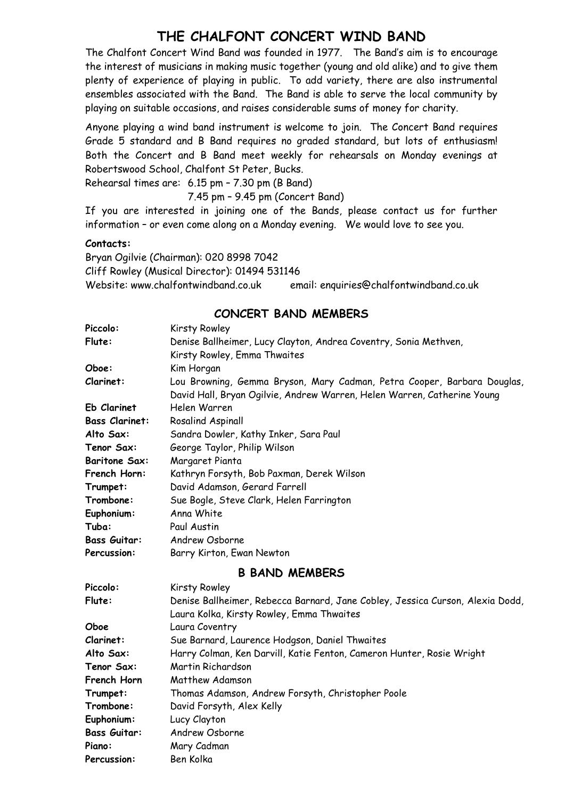## **THE CHALFONT CONCERT WIND BAND**

The Chalfont Concert Wind Band was founded in 1977. The Band's aim is to encourage the interest of musicians in making music together (young and old alike) and to give them plenty of experience of playing in public. To add variety, there are also instrumental ensembles associated with the Band. The Band is able to serve the local community by playing on suitable occasions, and raises considerable sums of money for charity.

Anyone playing a wind band instrument is welcome to join. The Concert Band requires Grade 5 standard and B Band requires no graded standard, but lots of enthusiasm! Both the Concert and B Band meet weekly for rehearsals on Monday evenings at Robertswood School, Chalfont St Peter, Bucks.

Rehearsal times are: 6.15 pm – 7.30 pm (B Band)

7.45 pm – 9.45 pm (Concert Band)

If you are interested in joining one of the Bands, please contact us for further information – or even come along on a Monday evening. We would love to see you.

#### **Contacts:**

Bryan Ogilvie (Chairman): 020 8998 7042 Cliff Rowley (Musical Director): 01494 531146 Website: www.chalfontwindband.co.uk email: enquiries@chalfontwindband.co.uk

### **CONCERT BAND MEMBERS**

| Piccolo:              | Kirsty Rowley                                                                                                                                      |
|-----------------------|----------------------------------------------------------------------------------------------------------------------------------------------------|
| Flute:                | Denise Ballheimer, Lucy Clayton, Andrea Coventry, Sonia Methven,                                                                                   |
|                       | Kirsty Rowley, Emma Thwaites                                                                                                                       |
| Oboe:                 | Kim Horgan                                                                                                                                         |
| Clarinet:             | Lou Browning, Gemma Bryson, Mary Cadman, Petra Cooper, Barbara Douglas,<br>David Hall, Bryan Ogilvie, Andrew Warren, Helen Warren, Catherine Young |
| Eb Clarinet           | Helen Warren                                                                                                                                       |
| <b>Bass Clarinet:</b> | Rosalind Aspinall                                                                                                                                  |
| Alto Sax:             | Sandra Dowler, Kathy Inker, Sara Paul                                                                                                              |
| Tenor Sax:            | George Taylor, Philip Wilson                                                                                                                       |
| <b>Baritone Sax:</b>  | Margaret Pianta                                                                                                                                    |
| French Horn:          | Kathryn Forsyth, Bob Paxman, Derek Wilson                                                                                                          |
| Trumpet:              | David Adamson, Gerard Farrell                                                                                                                      |
| Trombone:             | Sue Bogle, Steve Clark, Helen Farrington                                                                                                           |
| Euphonium:            | Anna White                                                                                                                                         |
| Tuba:                 | Paul Austin                                                                                                                                        |
| <b>Bass Guitar:</b>   | Andrew Osborne                                                                                                                                     |
| Percussion:           | Barry Kirton, Ewan Newton                                                                                                                          |
|                       | <b>B BAND MEMBERS</b>                                                                                                                              |
| Piccolo:              | Kirsty Rowley                                                                                                                                      |
| Flute:                | Denise Ballheimer, Rebecca Barnard, Jane Cobley, Jessica Curson, Alexia Dodd,                                                                      |
|                       | Laura Kolka, Kirsty Rowley, Emma Thwaites                                                                                                          |
| Oboe                  | Laura Coventry                                                                                                                                     |
| Clarinet:             | Sue Barnard, Laurence Hodgson, Daniel Thwaites                                                                                                     |
| Alto Sax:             | Harry Colman, Ken Darvill, Katie Fenton, Cameron Hunter, Rosie Wright                                                                              |
| Tenor Sax:            | Martin Richardson                                                                                                                                  |
| French Horn           | Matthew Adamson                                                                                                                                    |
| Trumnet:              | Thomas Adamson, Andrew Forsyth, Christopher Poole                                                                                                  |

| PICCOIO:            | KILSTY ROWIEY                                                                 |
|---------------------|-------------------------------------------------------------------------------|
| Flute:              | Denise Ballheimer, Rebecca Barnard, Jane Cobley, Jessica Curson, Alexia Dodd, |
|                     | Laura Kolka, Kirsty Rowley, Emma Thwaites                                     |
| Oboe                | Laura Coventry                                                                |
| Clarinet:           | Sue Barnard, Laurence Hodgson, Daniel Thwaites                                |
| Alto Sax:           | Harry Colman, Ken Darvill, Katie Fenton, Cameron Hunter, Rosie Wright         |
| Tenor Sax:          | Martin Richardson                                                             |
| French Horn         | Matthew Adamson                                                               |
| Trumpet:            | Thomas Adamson, Andrew Forsyth, Christopher Poole                             |
| Trombone:           | David Forsyth, Alex Kelly                                                     |
| Euphonium:          | Lucy Clayton                                                                  |
| <b>Bass Guitar:</b> | Andrew Osborne                                                                |
| Piano:              | Mary Cadman                                                                   |
| <b>Percussion:</b>  | Ben Kolka                                                                     |
|                     |                                                                               |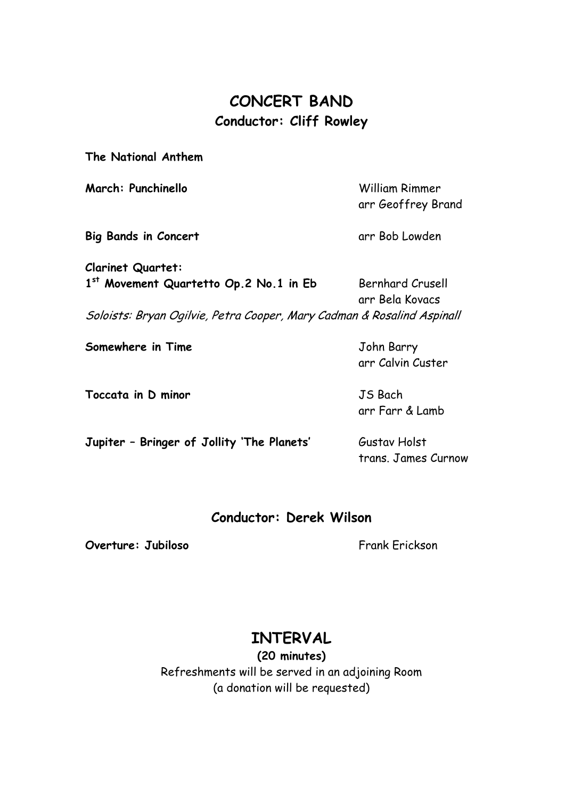## **CONCERT BAND Conductor: Cliff Rowley**

**The National Anthem**

**March: Punchinello** William Rimmer arr Geoffrey Brand **Big Bands in Concert** arr Bob Lowden **Clarinet Quartet:** 1<sup>st</sup> Movement Quartetto Op.2 No.1 in Eb Bernhard Crusell arr Bela Kovacs Soloists: Bryan Ogilvie, Petra Cooper, Mary Cadman & Rosalind Aspinall **Somewhere in Time** John Barry arr Calvin Custer **Toccata in D minor** JS Bach arr Farr & Lamb **Jupiter - Bringer of Jollity 'The Planets' Gustav Holst** 

### **Conductor: Derek Wilson**

**Overture: Jubiloso** Frank Frickson

trans. James Curnow

# **INTERVAL**

**(20 minutes)** Refreshments will be served in an adjoining Room (a donation will be requested)